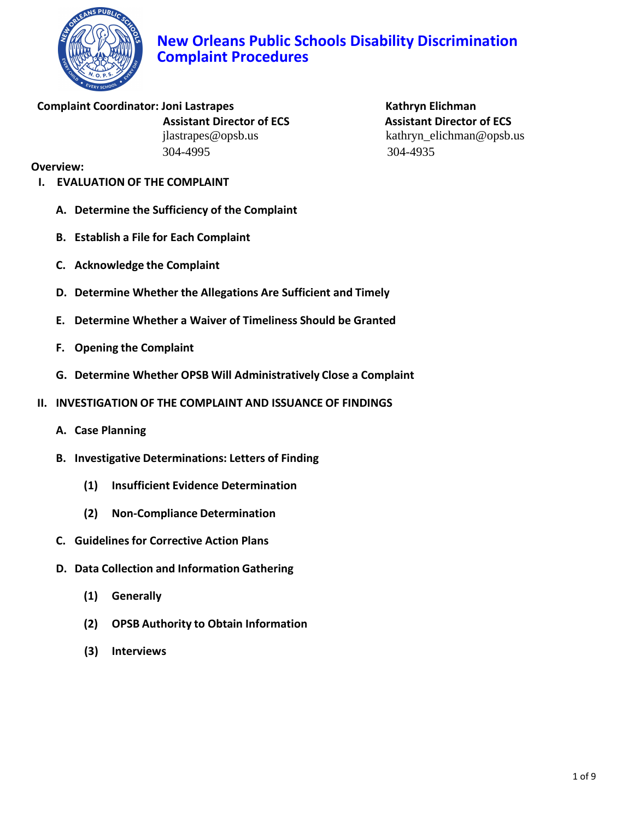

Complaint Coordinator: Joni Lastrapes **Kathryn Elichman** 304-4995 304-4935

 **Assistant Director of ECS [Assistant Director of ECS](mailto:Laverne_Fleming@opsb.us)** jlastrapes@opsb.us kathryn\_elichman@opsb.us

### **Overview:**

- **I. EVALUATION OF THE COMPLAINT**
	- **A. Determine the Sufficiency of the Complaint**
	- **B. Establish a File for Each Complaint**
	- **C. Acknowledge the Complaint**
	- **D. Determine Whether the Allegations Are Sufficient and Timely**
	- **E. Determine Whether a Waiver of Timeliness Should be Granted**
	- **F. Opening the Complaint**
	- **G. Determine Whether OPSB Will Administratively Close a Complaint**
- **II. INVESTIGATION OF THE COMPLAINT AND ISSUANCE OF FINDINGS** 
	- **A. Case Planning**
	- **B. Investigative Determinations: Letters of Finding**
		- **(1) Insufficient Evidence Determination**
		- **(2) Non-Compliance Determination**
	- **C. Guidelines for Corrective Action Plans**
	- **D. Data Collection and Information Gathering**
		- **(1) Generally**
		- **(2) OPSB Authority to Obtain Information**
		- **(3) Interviews**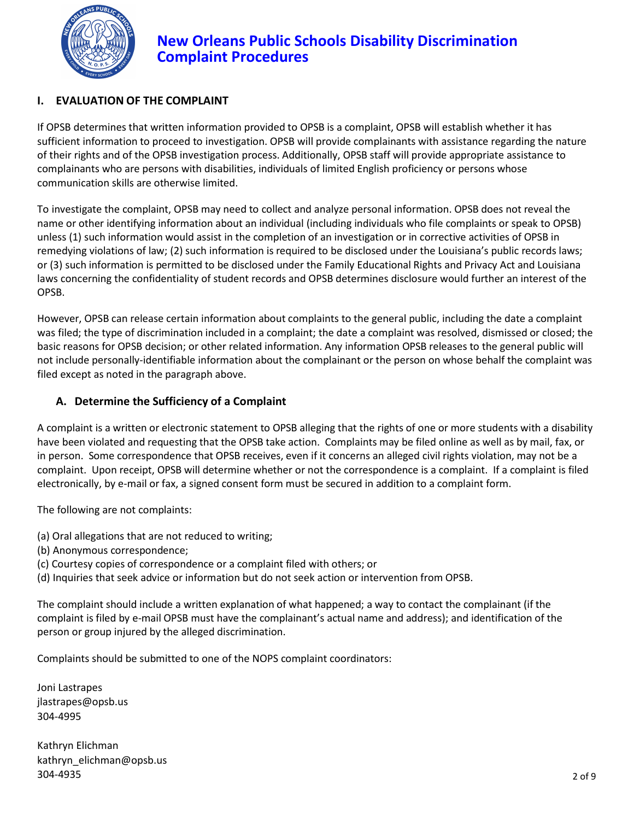

## **I. EVALUATION OF THE COMPLAINT**

If OPSB determines that written information provided to OPSB is a complaint, OPSB will establish whether it has sufficient information to proceed to investigation. OPSB will provide complainants with assistance regarding the nature of their rights and of the OPSB investigation process. Additionally, OPSB staff will provide appropriate assistance to complainants who are persons with disabilities, individuals of limited English proficiency or persons whose communication skills are otherwise limited.

To investigate the complaint, OPSB may need to collect and analyze personal information. OPSB does not reveal the name or other identifying information about an individual (including individuals who file complaints or speak to OPSB) unless (1) such information would assist in the completion of an investigation or in corrective activities of OPSB in remedying violations of law; (2) such information is required to be disclosed under the Louisiana's public records laws; or (3) such information is permitted to be disclosed under the Family Educational Rights and Privacy Act and Louisiana laws concerning the confidentiality of student records and OPSB determines disclosure would further an interest of the OPSB.

However, OPSB can release certain information about complaints to the general public, including the date a complaint was filed; the type of discrimination included in a complaint; the date a complaint was resolved, dismissed or closed; the basic reasons for OPSB decision; or other related information. Any information OPSB releases to the general public will not include personally-identifiable information about the complainant or the person on whose behalf the complaint was filed except as noted in the paragraph above.

## **A. Determine the Sufficiency of a Complaint**

A complaint is a written or electronic statement to OPSB alleging that the rights of one or more students with a disability have been violated and requesting that the OPSB take action. Complaints may be filed online as well as by mail, fax, or in person. Some correspondence that OPSB receives, even if it concerns an alleged civil rights violation, may not be a complaint. Upon receipt, OPSB will determine whether or not the correspondence is a complaint. If a complaint is filed electronically, by e-mail or fax, a signed consent form must be secured in addition to a complaint form.

The following are not complaints:

- (a) Oral allegations that are not reduced to writing;
- (b) Anonymous correspondence;
- (c) Courtesy copies of correspondence or a complaint filed with others; or
- (d) Inquiries that seek advice or information but do not seek action or intervention from OPSB.

The complaint should include a written explanation of what happened; a way to contact the complainant (if the complaint is filed by e-mail OPSB must have the complainant's actual name and address); and identification of the person or group injured by the alleged discrimination.

Complaints should be submitted to one of the NOPS complaint coordinators:

Joni Lastrapes jlastrapes@opsb.us 304-4995

Kathryn Elichman kathryn\_elichman@opsb.us 304-4935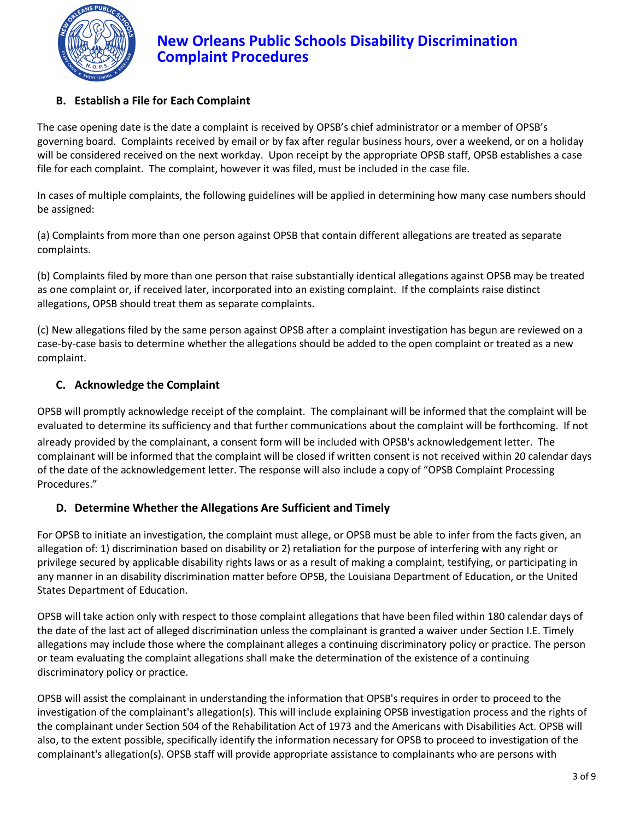

## **B. Establish a File for Each Complaint**

The case opening date is the date a complaint is received by OPSB's chief administrator or a member of OPSB's governing board. Complaints received by email or by fax after regular business hours, over a weekend, or on a holiday will be considered received on the next workday. Upon receipt by the appropriate OPSB staff, OPSB establishes a case file for each complaint. The complaint, however it was filed, must be included in the case file.

In cases of multiple complaints, the following guidelines will be applied in determining how many case numbers should be assigned:

(a) Complaints from more than one person against OPSB that contain different allegations are treated as separate complaints.

(b) Complaints filed by more than one person that raise substantially identical allegations against OPSB may be treated as one complaint or, if received later, incorporated into an existing complaint. If the complaints raise distinct allegations, OPSB should treat them as separate complaints.

(c) New allegations filed by the same person against OPSB after a complaint investigation has begun are reviewed on a case-by-case basis to determine whether the allegations should be added to the open complaint or treated as a new complaint.

### **C. Acknowledge the Complaint**

OPSB will promptly acknowledge receipt of the complaint. The complainant will be informed that the complaint will be evaluated to determine its sufficiency and that further communications about the complaint will be forthcoming. If not already provided by the complainant, a consent form will be included with OPSB's acknowledgement letter. The complainant will be informed that the complaint will be closed if written consent is not received within 20 calendar days of the date of the acknowledgement letter. The response will also include a copy of "OPSB Complaint Processing Procedures."

#### **D. Determine Whether the Allegations Are Sufficient and Timely**

For OPSB to initiate an investigation, the complaint must allege, or OPSB must be able to infer from the facts given, an allegation of: 1) discrimination based on disability or 2) retaliation for the purpose of interfering with any right or privilege secured by applicable disability rights laws or as a result of making a complaint, testifying, or participating in any manner in an disability discrimination matter before OPSB, the Louisiana Department of Education, or the United States Department of Education.

OPSB will take action only with respect to those complaint allegations that have been filed within 180 calendar days of the date of the last act of alleged discrimination unless the complainant is granted a waiver under Section I.E. Timely allegations may include those where the complainant alleges a continuing discriminatory policy or practice. The person or team evaluating the complaint allegations shall make the determination of the existence of a continuing discriminatory policy or practice.

OPSB will assist the complainant in understanding the information that OPSB's requires in order to proceed to the investigation of the complainant's allegation(s). This will include explaining OPSB investigation process and the rights of the complainant under Section 504 of the Rehabilitation Act of 1973 and the Americans with Disabilities Act. OPSB will also, to the extent possible, specifically identify the information necessary for OPSB to proceed to investigation of the complainant's allegation(s). OPSB staff will provide appropriate assistance to complainants who are persons with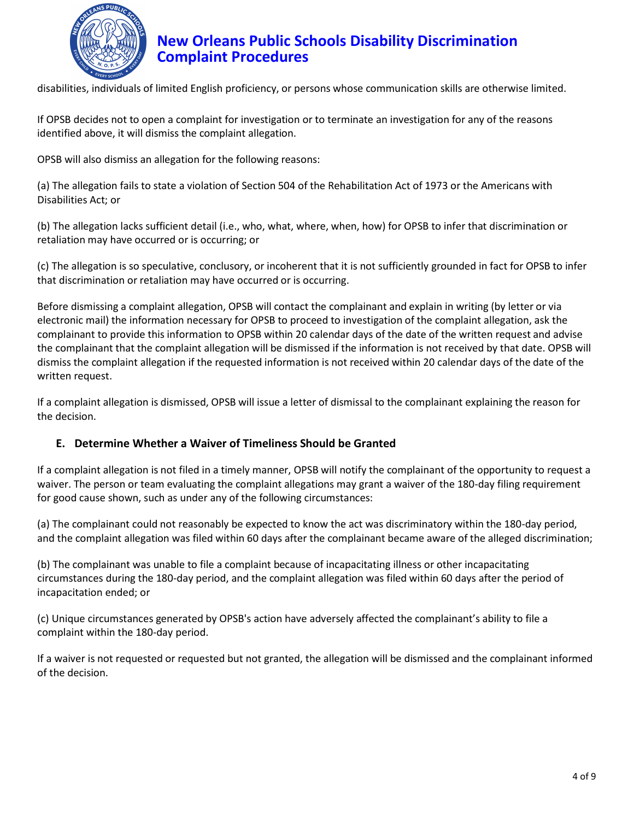

disabilities, individuals of limited English proficiency, or persons whose communication skills are otherwise limited.

If OPSB decides not to open a complaint for investigation or to terminate an investigation for any of the reasons identified above, it will dismiss the complaint allegation.

OPSB will also dismiss an allegation for the following reasons:

(a) The allegation fails to state a violation of Section 504 of the Rehabilitation Act of 1973 or the Americans with Disabilities Act; or

(b) The allegation lacks sufficient detail (i.e., who, what, where, when, how) for OPSB to infer that discrimination or retaliation may have occurred or is occurring; or

(c) The allegation is so speculative, conclusory, or incoherent that it is not sufficiently grounded in fact for OPSB to infer that discrimination or retaliation may have occurred or is occurring.

Before dismissing a complaint allegation, OPSB will contact the complainant and explain in writing (by letter or via electronic mail) the information necessary for OPSB to proceed to investigation of the complaint allegation, ask the complainant to provide this information to OPSB within 20 calendar days of the date of the written request and advise the complainant that the complaint allegation will be dismissed if the information is not received by that date. OPSB will dismiss the complaint allegation if the requested information is not received within 20 calendar days of the date of the written request.

If a complaint allegation is dismissed, OPSB will issue a letter of dismissal to the complainant explaining the reason for the decision.

#### **E. Determine Whether a Waiver of Timeliness Should be Granted**

If a complaint allegation is not filed in a timely manner, OPSB will notify the complainant of the opportunity to request a waiver. The person or team evaluating the complaint allegations may grant a waiver of the 180-day filing requirement for good cause shown, such as under any of the following circumstances:

(a) The complainant could not reasonably be expected to know the act was discriminatory within the 180-day period, and the complaint allegation was filed within 60 days after the complainant became aware of the alleged discrimination;

(b) The complainant was unable to file a complaint because of incapacitating illness or other incapacitating circumstances during the 180-day period, and the complaint allegation was filed within 60 days after the period of incapacitation ended; or

(c) Unique circumstances generated by OPSB's action have adversely affected the complainant's ability to file a complaint within the 180-day period.

If a waiver is not requested or requested but not granted, the allegation will be dismissed and the complainant informed of the decision.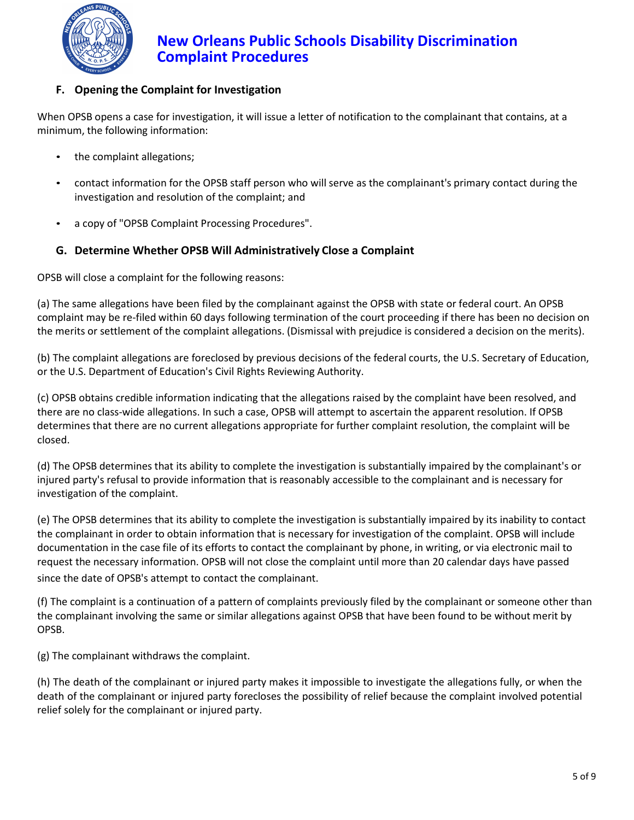

## **F. Opening the Complaint for Investigation**

When OPSB opens a case for investigation, it will issue a letter of notification to the complainant that contains, at a minimum, the following information:

- the complaint allegations;
- contact information for the OPSB staff person who will serve as the complainant's primary contact during the investigation and resolution of the complaint; and
- a copy of "OPSB Complaint Processing Procedures".

## **G. Determine Whether OPSB Will Administratively Close a Complaint**

OPSB will close a complaint for the following reasons:

(a) The same allegations have been filed by the complainant against the OPSB with state or federal court. An OPSB complaint may be re-filed within 60 days following termination of the court proceeding if there has been no decision on the merits or settlement of the complaint allegations. (Dismissal with prejudice is considered a decision on the merits).

(b) The complaint allegations are foreclosed by previous decisions of the federal courts, the U.S. Secretary of Education, or the U.S. Department of Education's Civil Rights Reviewing Authority.

(c) OPSB obtains credible information indicating that the allegations raised by the complaint have been resolved, and there are no class-wide allegations. In such a case, OPSB will attempt to ascertain the apparent resolution. If OPSB determines that there are no current allegations appropriate for further complaint resolution, the complaint will be closed.

(d) The OPSB determines that its ability to complete the investigation is substantially impaired by the complainant's or injured party's refusal to provide information that is reasonably accessible to the complainant and is necessary for investigation of the complaint.

(e) The OPSB determines that its ability to complete the investigation is substantially impaired by its inability to contact the complainant in order to obtain information that is necessary for investigation of the complaint. OPSB will include documentation in the case file of its efforts to contact the complainant by phone, in writing, or via electronic mail to request the necessary information. OPSB will not close the complaint until more than 20 calendar days have passed since the date of OPSB's attempt to contact the complainant.

(f) The complaint is a continuation of a pattern of complaints previously filed by the complainant or someone other than the complainant involving the same or similar allegations against OPSB that have been found to be without merit by OPSB.

(g) The complainant withdraws the complaint.

(h) The death of the complainant or injured party makes it impossible to investigate the allegations fully, or when the death of the complainant or injured party forecloses the possibility of relief because the complaint involved potential relief solely for the complainant or injured party.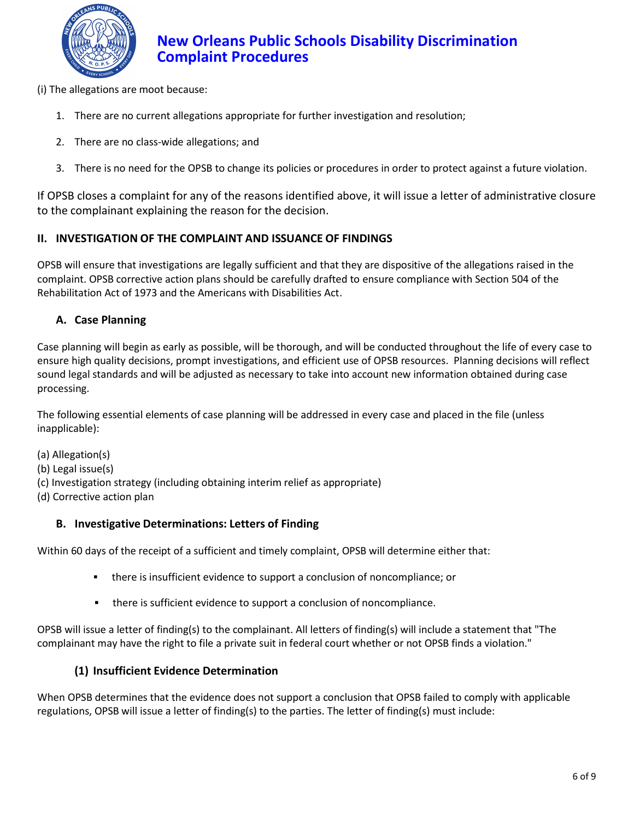

(i) The allegations are moot because:

- 1. There are no current allegations appropriate for further investigation and resolution;
- 2. There are no class-wide allegations; and
- 3. There is no need for the OPSB to change its policies or procedures in order to protect against a future violation.

If OPSB closes a complaint for any of the reasons identified above, it will issue a letter of administrative closure to the complainant explaining the reason for the decision.

### **II. INVESTIGATION OF THE COMPLAINT AND ISSUANCE OF FINDINGS**

OPSB will ensure that investigations are legally sufficient and that they are dispositive of the allegations raised in the complaint. OPSB corrective action plans should be carefully drafted to ensure compliance with Section 504 of the Rehabilitation Act of 1973 and the Americans with Disabilities Act.

### **A. Case Planning**

Case planning will begin as early as possible, will be thorough, and will be conducted throughout the life of every case to ensure high quality decisions, prompt investigations, and efficient use of OPSB resources. Planning decisions will reflect sound legal standards and will be adjusted as necessary to take into account new information obtained during case processing.

The following essential elements of case planning will be addressed in every case and placed in the file (unless inapplicable):

- (a) Allegation(s)
- (b) Legal issue(s)
- (c) Investigation strategy (including obtaining interim relief as appropriate)
- (d) Corrective action plan

#### **B. Investigative Determinations: Letters of Finding**

Within 60 days of the receipt of a sufficient and timely complaint, OPSB will determine either that:

- **there is insufficient evidence to support a conclusion of noncompliance; or**
- there is sufficient evidence to support a conclusion of noncompliance.

OPSB will issue a letter of finding(s) to the complainant. All letters of finding(s) will include a statement that "The complainant may have the right to file a private suit in federal court whether or not OPSB finds a violation."

#### **(1) Insufficient Evidence Determination**

When OPSB determines that the evidence does not support a conclusion that OPSB failed to comply with applicable regulations, OPSB will issue a letter of finding(s) to the parties. The letter of finding(s) must include: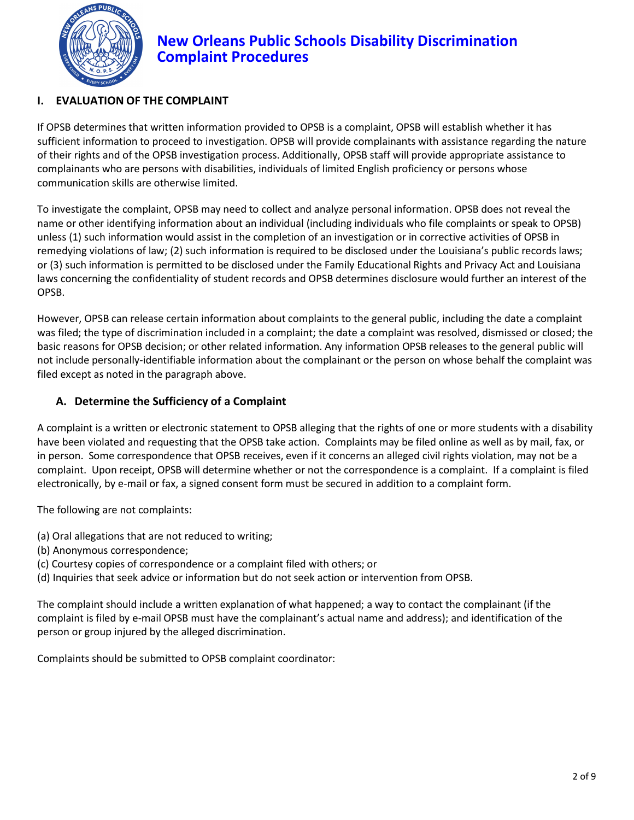

## **I. EVALUATION OF THE COMPLAINT**

If OPSB determines that written information provided to OPSB is a complaint, OPSB will establish whether it has sufficient information to proceed to investigation. OPSB will provide complainants with assistance regarding the nature of their rights and of the OPSB investigation process. Additionally, OPSB staff will provide appropriate assistance to complainants who are persons with disabilities, individuals of limited English proficiency or persons whose communication skills are otherwise limited.

To investigate the complaint, OPSB may need to collect and analyze personal information. OPSB does not reveal the name or other identifying information about an individual (including individuals who file complaints or speak to OPSB) unless (1) such information would assist in the completion of an investigation or in corrective activities of OPSB in remedying violations of law; (2) such information is required to be disclosed under the Louisiana's public records laws; or (3) such information is permitted to be disclosed under the Family Educational Rights and Privacy Act and Louisiana laws concerning the confidentiality of student records and OPSB determines disclosure would further an interest of the OPSB.

However, OPSB can release certain information about complaints to the general public, including the date a complaint was filed; the type of discrimination included in a complaint; the date a complaint was resolved, dismissed or closed; the basic reasons for OPSB decision; or other related information. Any information OPSB releases to the general public will not include personally-identifiable information about the complainant or the person on whose behalf the complaint was filed except as noted in the paragraph above.

## **A. Determine the Sufficiency of a Complaint**

A complaint is a written or electronic statement to OPSB alleging that the rights of one or more students with a disability have been violated and requesting that the OPSB take action. Complaints may be filed online as well as by mail, fax, or in person. Some correspondence that OPSB receives, even if it concerns an alleged civil rights violation, may not be a complaint. Upon receipt, OPSB will determine whether or not the correspondence is a complaint. If a complaint is filed electronically, by e-mail or fax, a signed consent form must be secured in addition to a complaint form.

The following are not complaints:

- (a) Oral allegations that are not reduced to writing;
- (b) Anonymous correspondence;
- (c) Courtesy copies of correspondence or a complaint filed with others; or
- (d) Inquiries that seek advice or information but do not seek action or intervention from OPSB.

The complaint should include a written explanation of what happened; a way to contact the complainant (if the complaint is filed by e-mail OPSB must have the complainant's actual name and address); and identification of the person or group injured by the alleged discrimination.

Complaints should be submitted to OPSB complaint coordinator: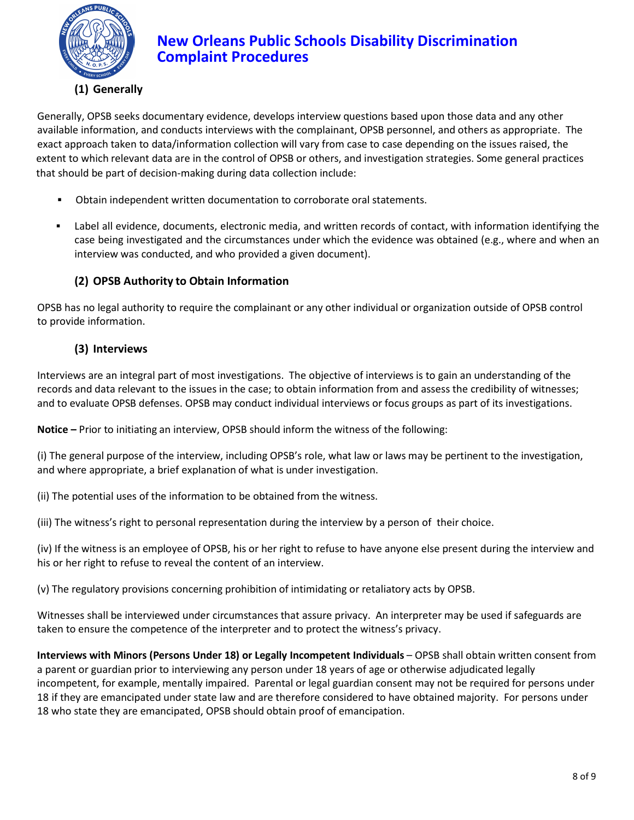

Generally, OPSB seeks documentary evidence, develops interview questions based upon those data and any other available information, and conducts interviews with the complainant, OPSB personnel, and others as appropriate. The exact approach taken to data/information collection will vary from case to case depending on the issues raised, the extent to which relevant data are in the control of OPSB or others, and investigation strategies. Some general practices that should be part of decision-making during data collection include:

- Obtain independent written documentation to corroborate oral statements.
- Label all evidence, documents, electronic media, and written records of contact, with information identifying the case being investigated and the circumstances under which the evidence was obtained (e.g., where and when an interview was conducted, and who provided a given document).

## **(2) OPSB Authority to Obtain Information**

OPSB has no legal authority to require the complainant or any other individual or organization outside of OPSB control to provide information.

### **(3) Interviews**

Interviews are an integral part of most investigations. The objective of interviews is to gain an understanding of the records and data relevant to the issues in the case; to obtain information from and assess the credibility of witnesses; and to evaluate OPSB defenses. OPSB may conduct individual interviews or focus groups as part of its investigations.

**Notice –** Prior to initiating an interview, OPSB should inform the witness of the following:

(i) The general purpose of the interview, including OPSB's role, what law or laws may be pertinent to the investigation, and where appropriate, a brief explanation of what is under investigation.

(ii) The potential uses of the information to be obtained from the witness.

(iii) The witness's right to personal representation during the interview by a person of their choice.

(iv) If the witness is an employee of OPSB, his or her right to refuse to have anyone else present during the interview and his or her right to refuse to reveal the content of an interview.

(v) The regulatory provisions concerning prohibition of intimidating or retaliatory acts by OPSB.

Witnesses shall be interviewed under circumstances that assure privacy. An interpreter may be used if safeguards are taken to ensure the competence of the interpreter and to protect the witness's privacy.

**Interviews with Minors (Persons Under 18) or Legally Incompetent Individuals** – OPSB shall obtain written consent from a parent or guardian prior to interviewing any person under 18 years of age or otherwise adjudicated legally incompetent, for example, mentally impaired. Parental or legal guardian consent may not be required for persons under 18 if they are emancipated under state law and are therefore considered to have obtained majority. For persons under 18 who state they are emancipated, OPSB should obtain proof of emancipation.